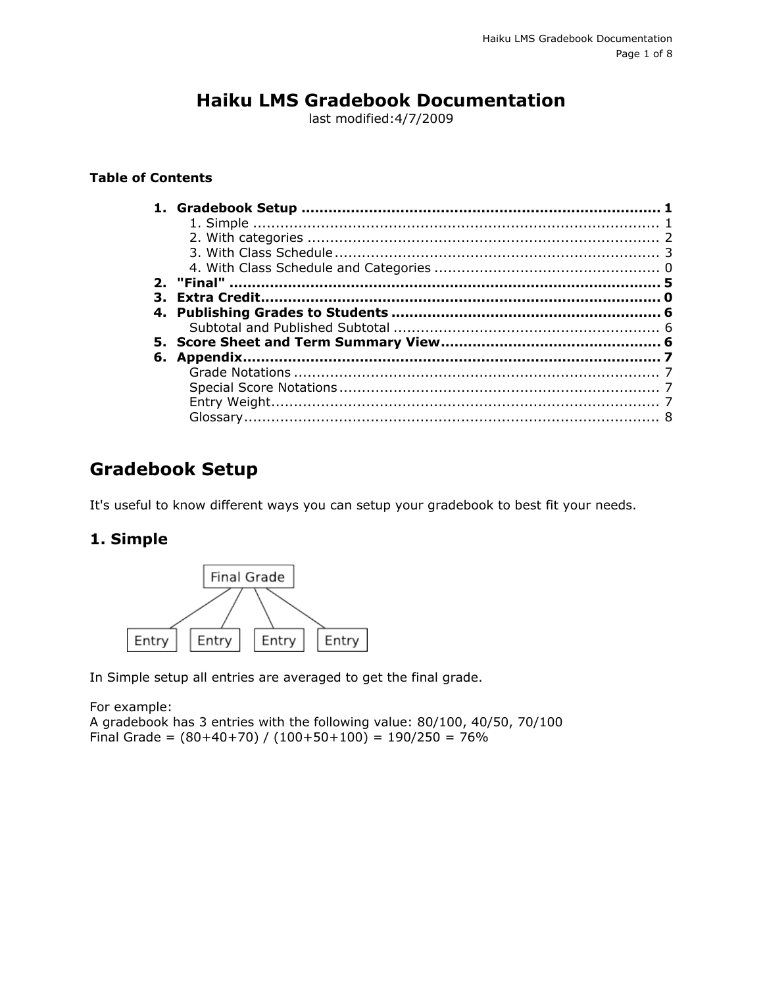# **Haiku LMS Gradebook Documentation**

last modified:4/7/2009

#### **Table of Contents**

## <span id="page-0-0"></span>**Gradebook Setup**

It's useful to know different ways you can setup your gradebook to best fit your needs.

### <span id="page-0-1"></span>**1. Simple**



In Simple setup all entries are averaged to get the final grade.

For example: A gradebook has 3 entries with the following value: 80/100, 40/50, 70/100 Final Grade =  $(80+40+70) / (100+50+100) = 190/250 = 76%$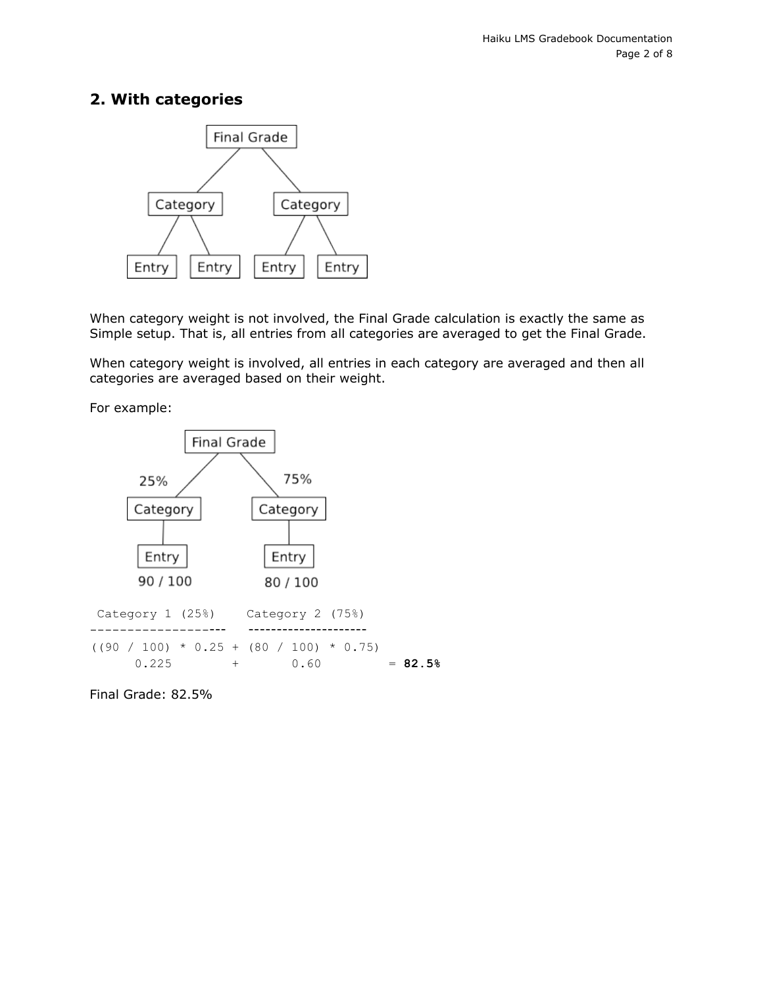### <span id="page-1-0"></span>**2. With categories**



When category weight is not involved, the Final Grade calculation is exactly the same as Simple setup. That is, all entries from all categories are averaged to get the Final Grade.

When category weight is involved, all entries in each category are averaged and then all categories are averaged based on their weight.

For example:



Final Grade: 82.5%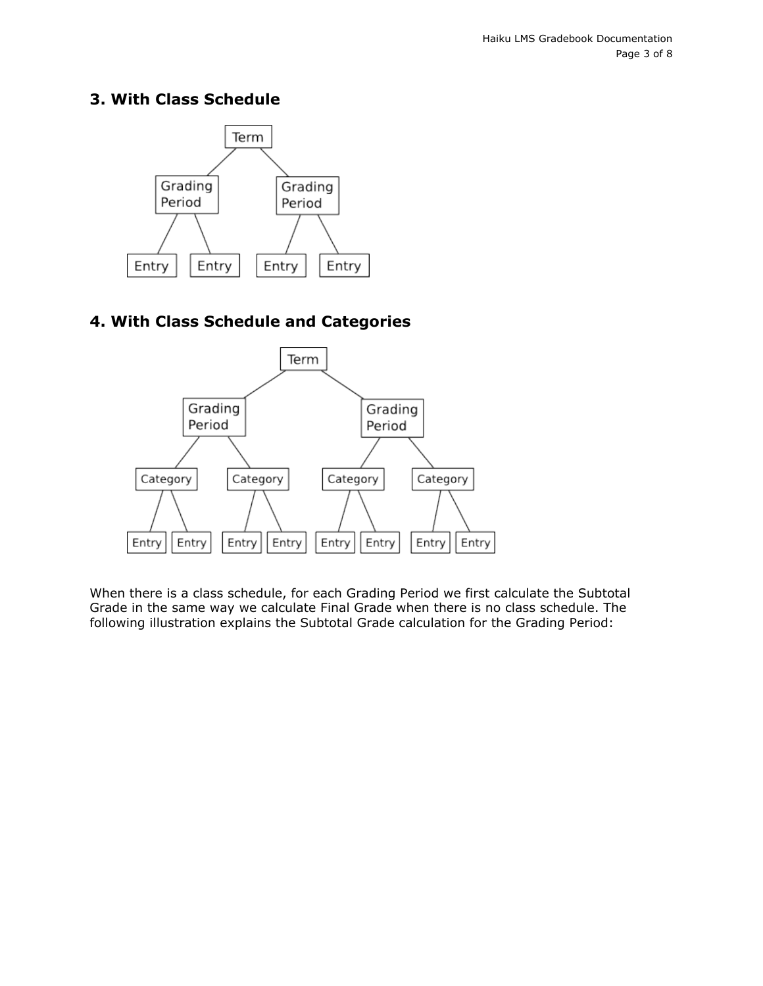#### <span id="page-2-0"></span>**3. With Class Schedule**



### **4. With Class Schedule and Categories**



When there is a class schedule, for each Grading Period we first calculate the Subtotal Grade in the same way we calculate Final Grade when there is no class schedule. The following illustration explains the Subtotal Grade calculation for the Grading Period: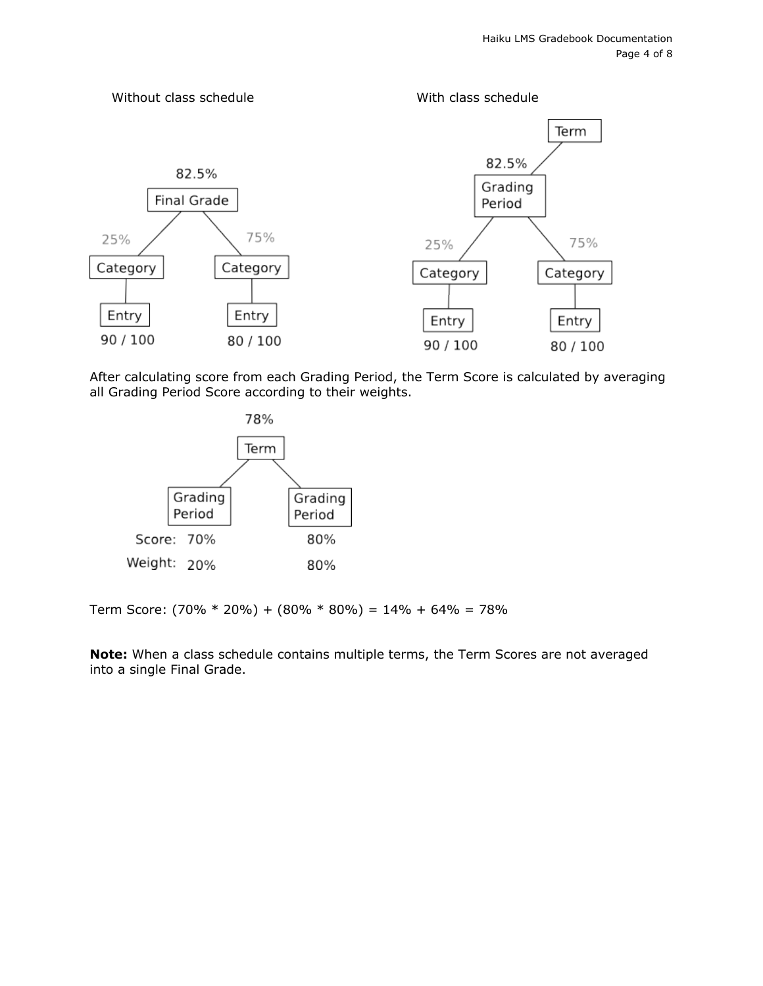

After calculating score from each Grading Period, the Term Score is calculated by averaging all Grading Period Score according to their weights.



Term Score:  $(70\% * 20\%) + (80\% * 80\%) = 14\% + 64\% = 78\%$ 

**Note:** When a class schedule contains multiple terms, the Term Scores are not averaged into a single Final Grade.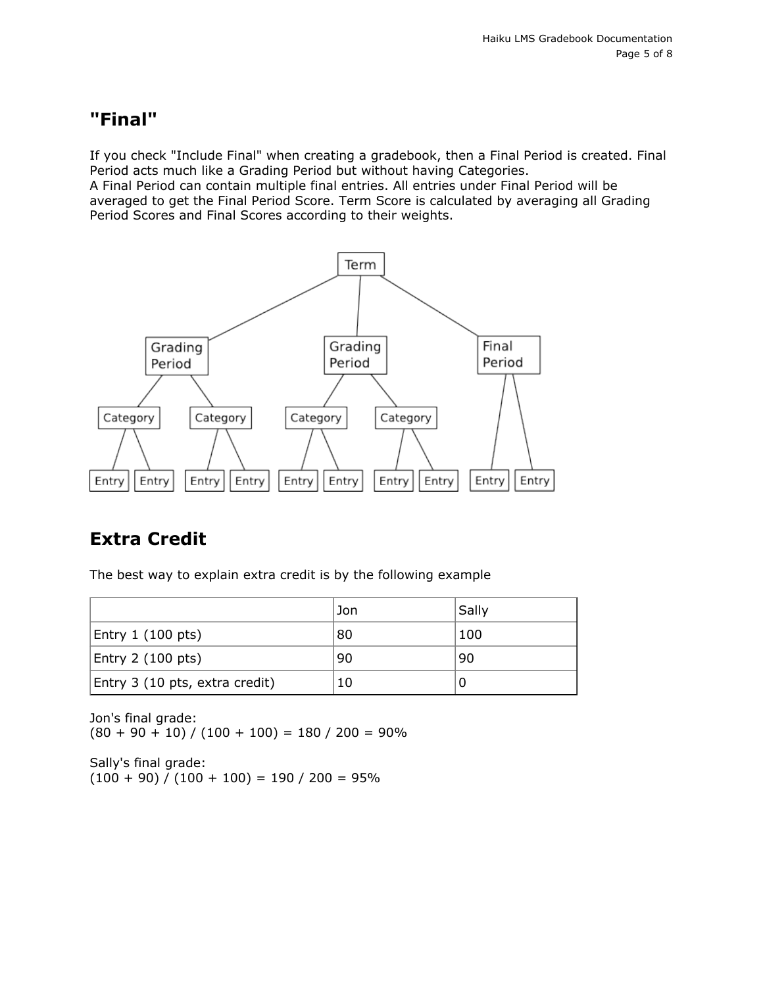# <span id="page-4-0"></span>**"Final"**

If you check "Include Final" when creating a gradebook, then a Final Period is created. Final Period acts much like a Grading Period but without having Categories.

A Final Period can contain multiple final entries. All entries under Final Period will be averaged to get the Final Period Score. Term Score is calculated by averaging all Grading Period Scores and Final Scores according to their weights.



# **Extra Credit**

The best way to explain extra credit is by the following example

|                                | Jon | Sally |
|--------------------------------|-----|-------|
| Entry 1 (100 pts)              | 80  | 100   |
| Entry 2 (100 pts)              | 90  | 90    |
| Entry 3 (10 pts, extra credit) | 10  |       |

Jon's final grade:  $(80 + 90 + 10) / (100 + 100) = 180 / 200 = 90\%$ 

Sally's final grade:  $(100 + 90) / (100 + 100) = 190 / 200 = 95%$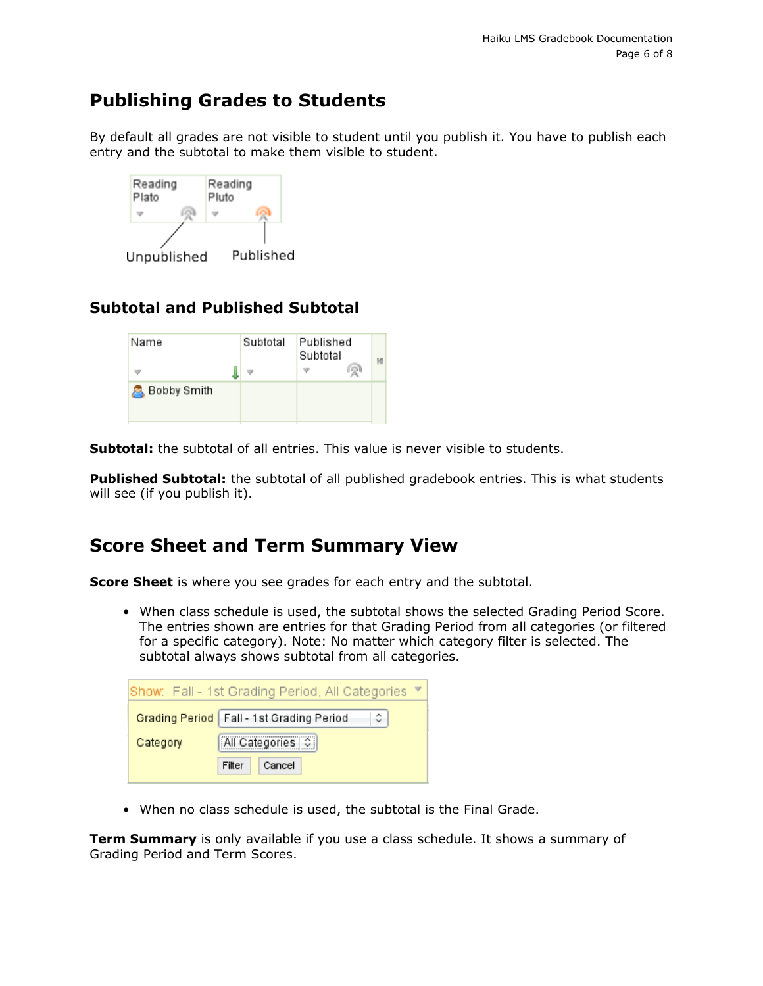# <span id="page-5-0"></span>**Publishing Grades to Students**

By default all grades are not visible to student until you publish it. You have to publish each entry and the subtotal to make them visible to student.



## <span id="page-5-1"></span>**Subtotal and Published Subtotal**

| Name               | Subtotal | Published<br>Subtotal | രൂ |  |
|--------------------|----------|-----------------------|----|--|
| <b>Bobby Smith</b> |          |                       |    |  |

**Subtotal:** the subtotal of all entries. This value is never visible to students.

**Published Subtotal:** the subtotal of all published gradebook entries. This is what students will see (if you publish it).

# <span id="page-5-2"></span>**Score Sheet and Term Summary View**

**Score Sheet** is where you see grades for each entry and the subtotal.

• When class schedule is used, the subtotal shows the selected Grading Period Score. The entries shown are entries for that Grading Period from all categories (or filtered for a specific category). Note: No matter which category filter is selected. The subtotal always shows subtotal from all categories.

| Show: Fall - 1st Grading Period, All Categories |                  |  |  |  |
|-------------------------------------------------|------------------|--|--|--|
| Grading Period   Fall - 1st Grading Period<br>≎ |                  |  |  |  |
| All Categories   C  <br>Category                |                  |  |  |  |
|                                                 | Cancel<br>Filter |  |  |  |

• When no class schedule is used, the subtotal is the Final Grade.

**Term Summary** is only available if you use a class schedule. It shows a summary of Grading Period and Term Scores.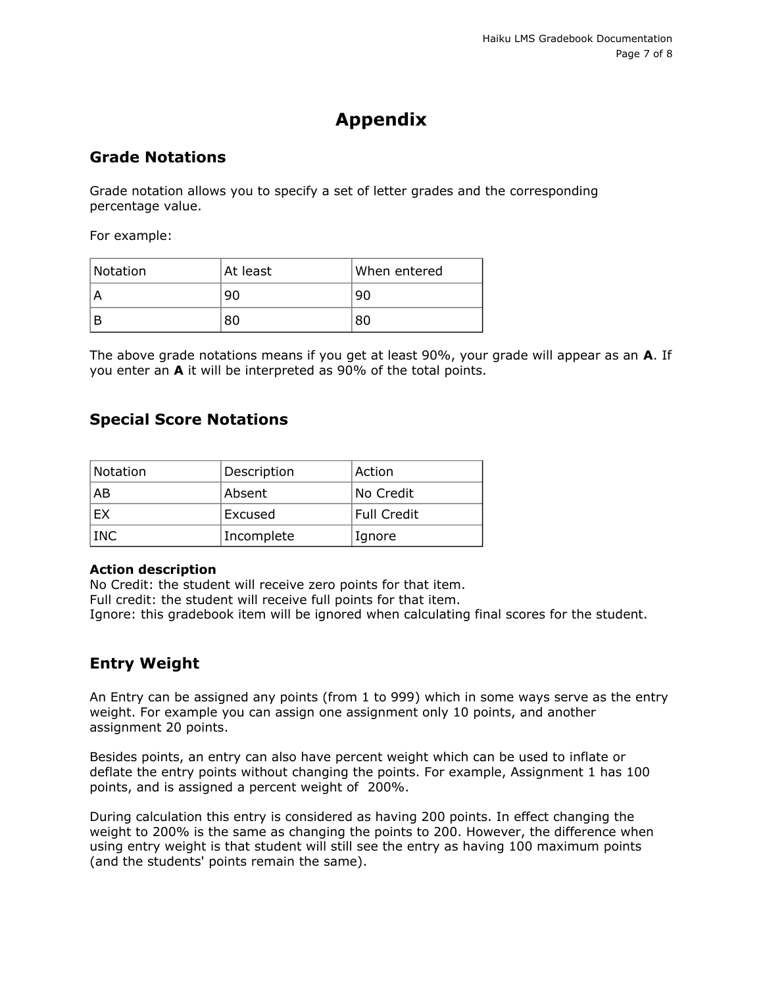# **Appendix**

#### <span id="page-6-1"></span><span id="page-6-0"></span>**Grade Notations**

Grade notation allows you to specify a set of letter grades and the corresponding percentage value.

For example:

| Notation | At least | When entered |
|----------|----------|--------------|
|          | 90       | 90           |
|          | 80       | 80           |

The above grade notations means if you get at least 90%, your grade will appear as an **A**. If you enter an **A** it will be interpreted as 90% of the total points.

#### <span id="page-6-2"></span>**Special Score Notations**

| Notation   | Description | Action      |
|------------|-------------|-------------|
| AB         | Absent      | No Credit   |
| EX         | Excused     | Full Credit |
| <b>INC</b> | Incomplete  | Ignore      |

#### **Action description**

No Credit: the student will receive zero points for that item. Full credit: the student will receive full points for that item. Ignore: this gradebook item will be ignored when calculating final scores for the student.

### <span id="page-6-3"></span>**Entry Weight**

An Entry can be assigned any points (from 1 to 999) which in some ways serve as the entry weight. For example you can assign one assignment only 10 points, and another assignment 20 points.

Besides points, an entry can also have percent weight which can be used to inflate or deflate the entry points without changing the points. For example, Assignment 1 has 100 points, and is assigned a percent weight of 200%.

During calculation this entry is considered as having 200 points. In effect changing the weight to 200% is the same as changing the points to 200. However, the difference when using entry weight is that student will still see the entry as having 100 maximum points (and the students' points remain the same).